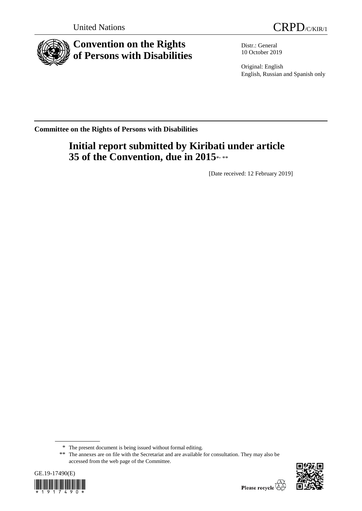



# **Convention on the Rights of Persons with Disabilities**

Distr.: General 10 October 2019

Original: English English, Russian and Spanish only

**Committee on the Rights of Persons with Disabilities**

# **Initial report submitted by Kiribati under article 35 of the Convention, due in 2015\*\*\*\***

[Date received: 12 February 2019]

<sup>\*\*</sup> The annexes are on file with the Secretariat and are available for consultation. They may also be accessed from the web page of the Committee.





<sup>\*</sup> The present document is being issued without formal editing.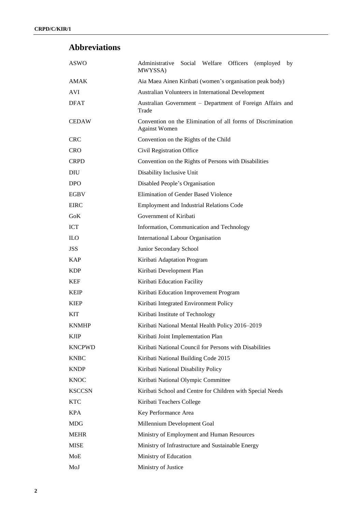## **Abbreviations**

| <b>ASWO</b>   | Social Welfare Officers<br>Administrative<br>(employed<br>by<br>MWYSSA)              |
|---------------|--------------------------------------------------------------------------------------|
| <b>AMAK</b>   | Aia Maea Ainen Kiribati (women's organisation peak body)                             |
| <b>AVI</b>    | Australian Volunteers in International Development                                   |
| <b>DFAT</b>   | Australian Government - Department of Foreign Affairs and<br>Trade                   |
| <b>CEDAW</b>  | Convention on the Elimination of all forms of Discrimination<br><b>Against Women</b> |
| <b>CRC</b>    | Convention on the Rights of the Child                                                |
| <b>CRO</b>    | Civil Registration Office                                                            |
| <b>CRPD</b>   | Convention on the Rights of Persons with Disabilities                                |
| <b>DIU</b>    | Disability Inclusive Unit                                                            |
| <b>DPO</b>    | Disabled People's Organisation                                                       |
| <b>EGBV</b>   | Elimination of Gender Based Violence                                                 |
| <b>EIRC</b>   | <b>Employment and Industrial Relations Code</b>                                      |
| GoK           | Government of Kiribati                                                               |
| <b>ICT</b>    | Information, Communication and Technology                                            |
| <b>ILO</b>    | International Labour Organisation                                                    |
| <b>JSS</b>    | Junior Secondary School                                                              |
| <b>KAP</b>    | Kiribati Adaptation Program                                                          |
| <b>KDP</b>    | Kiribati Development Plan                                                            |
| <b>KEF</b>    | Kiribati Education Facility                                                          |
| <b>KEIP</b>   | Kiribati Education Improvement Program                                               |
| <b>KIEP</b>   | Kiribati Integrated Environment Policy                                               |
| <b>KIT</b>    | Kiribati Institute of Technology                                                     |
| <b>KNMHP</b>  | Kiribati National Mental Health Policy 2016-2019                                     |
| <b>KJIP</b>   | Kiribati Joint Implementation Plan                                                   |
| <b>KNCPWD</b> | Kiribati National Council for Persons with Disabilities                              |
| <b>KNBC</b>   | Kiribati National Building Code 2015                                                 |
| <b>KNDP</b>   | Kiribati National Disability Policy                                                  |
| <b>KNOC</b>   | Kiribati National Olympic Committee                                                  |
| <b>KSCCSN</b> | Kiribati School and Centre for Children with Special Needs                           |
| <b>KTC</b>    | Kiribati Teachers College                                                            |
| <b>KPA</b>    | Key Performance Area                                                                 |
| MDG           | Millennium Development Goal                                                          |
| <b>MEHR</b>   | Ministry of Employment and Human Resources                                           |
| <b>MISE</b>   | Ministry of Infrastructure and Sustainable Energy                                    |
| MoE           | Ministry of Education                                                                |
| MoJ           | Ministry of Justice                                                                  |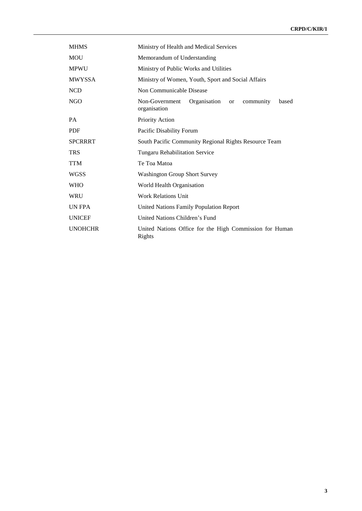| <b>MHMS</b>    | Ministry of Health and Medical Services                                               |
|----------------|---------------------------------------------------------------------------------------|
| <b>MOU</b>     | Memorandum of Understanding                                                           |
| <b>MPWU</b>    | Ministry of Public Works and Utilities                                                |
| <b>MWYSSA</b>  | Ministry of Women, Youth, Sport and Social Affairs                                    |
| <b>NCD</b>     | Non Communicable Disease                                                              |
| <b>NGO</b>     | Non-Government<br>Organisation<br>community<br>based<br><sub>or</sub><br>organisation |
| <b>PA</b>      | Priority Action                                                                       |
| <b>PDF</b>     | Pacific Disability Forum                                                              |
| <b>SPCRRRT</b> | South Pacific Community Regional Rights Resource Team                                 |
| <b>TRS</b>     | <b>Tungaru Rehabilitation Service</b>                                                 |
| <b>TTM</b>     | Te Toa Matoa                                                                          |
| <b>WGSS</b>    | <b>Washington Group Short Survey</b>                                                  |
| <b>WHO</b>     | World Health Organisation                                                             |
| <b>WRU</b>     | <b>Work Relations Unit</b>                                                            |
| UN FPA         | <b>United Nations Family Population Report</b>                                        |
| <b>UNICEF</b>  | United Nations Children's Fund                                                        |
| <b>UNOHCHR</b> | United Nations Office for the High Commission for Human<br>Rights                     |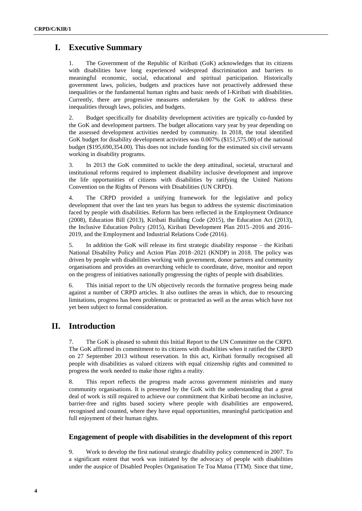## **I. Executive Summary**

1. The Government of the Republic of Kiribati (GoK) acknowledges that its citizens with disabilities have long experienced widespread discrimination and barriers to meaningful economic, social, educational and spiritual participation. Historically government laws, policies, budgets and practices have not proactively addressed these inequalities or the fundamental human rights and basic needs of I-Kiribati with disabilities. Currently, there are progressive measures undertaken by the GoK to address these inequalities through laws, policies, and budgets.

2. Budget specifically for disability development activities are typically co-funded by the GoK and development partners. The budget allocations vary year by year depending on the assessed development activities needed by community. In 2018, the total identified GoK budget for disability development activities was 0.007% (\$151,575.00) of the national budget (\$195,690,354.00). This does not include funding for the estimated six civil servants working in disability programs.

3. In 2013 the GoK committed to tackle the deep attitudinal, societal, structural and institutional reforms required to implement disability inclusive development and improve the life opportunities of citizens with disabilities by ratifying the United Nations Convention on the Rights of Persons with Disabilities (UN CRPD).

4. The CRPD provided a unifying framework for the legislative and policy development that over the last ten years has begun to address the systemic discrimination faced by people with disabilities. Reform has been reflected in the Employment Ordinance (2008), Education Bill (2013), Kiribati Building Code (2015), the Education Act (2013), the Inclusive Education Policy (2015), Kiribati Development Plan 2015–2016 and 2016– 2019, and the Employment and Industrial Relations Code (2016).

5. In addition the GoK will release its first strategic disability response – the Kiribati National Disability Policy and Action Plan 2018–2021 (KNDP) in 2018. The policy was driven by people with disabilities working with government, donor partners and community organisations and provides an overarching vehicle to coordinate, drive, monitor and report on the progress of initiatives nationally progressing the rights of people with disabilities.

6. This initial report to the UN objectively records the formative progress being made against a number of CRPD articles. It also outlines the areas in which, due to resourcing limitations, progress has been problematic or protracted as well as the areas which have not yet been subject to formal consideration.

## **II. Introduction**

7. The GoK is pleased to submit this Initial Report to the UN Committee on the CRPD. The GoK affirmed its commitment to its citizens with disabilities when it ratified the CRPD on 27 September 2013 without reservation. In this act, Kiribati formally recognised all people with disabilities as valued citizens with equal citizenship rights and committed to progress the work needed to make those rights a reality.

8. This report reflects the progress made across government ministries and many community organisations. It is presented by the GoK with the understanding that a great deal of work is still required to achieve our commitment that Kiribati become an inclusive, barrier-free and rights based society where people with disabilities are empowered, recognised and counted, where they have equal opportunities, meaningful participation and full enjoyment of their human rights.

### **Engagement of people with disabilities in the development of this report**

9. Work to develop the first national strategic disability policy commenced in 2007. To a significant extent that work was initiated by the advocacy of people with disabilities under the auspice of Disabled Peoples Organisation Te Toa Matoa (TTM). Since that time,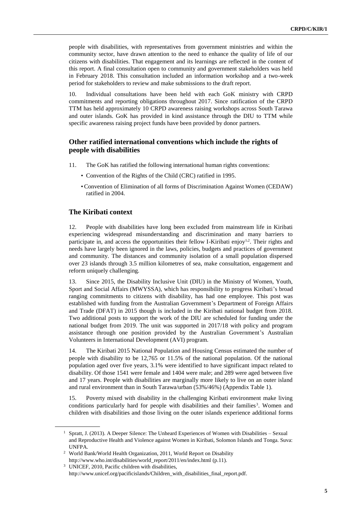people with disabilities, with representatives from government ministries and within the community sector, have drawn attention to the need to enhance the quality of life of our citizens with disabilities. That engagement and its learnings are reflected in the content of this report. A final consultation open to community and government stakeholders was held in February 2018. This consultation included an information workshop and a two-week period for stakeholders to review and make submissions to the draft report.

10. Individual consultations have been held with each GoK ministry with CRPD commitments and reporting obligations throughout 2017. Since ratification of the CRPD TTM has held approximately 10 CRPD awareness raising workshops across South Tarawa and outer islands. GoK has provided in kind assistance through the DIU to TTM while specific awareness raising project funds have been provided by donor partners.

#### **Other ratified international conventions which include the rights of people with disabilities**

- 11. The GoK has ratified the following international human rights conventions:
	- Convention of the Rights of the Child (CRC) ratified in 1995.
	- Convention of Elimination of all forms of Discrimination Against Women (CEDAW) ratified in 2004.

### **The Kiribati context**

12. People with disabilities have long been excluded from mainstream life in Kiribati experiencing widespread misunderstanding and discrimination and many barriers to participate in, and access the opportunities their fellow I-Kiribati enjoy<sup>1,2</sup>. Their rights and needs have largely been ignored in the laws, policies, budgets and practices of government and community. The distances and community isolation of a small population dispersed over 23 islands through 3.5 million kilometres of sea, make consultation, engagement and reform uniquely challenging.

13. Since 2015, the Disability Inclusive Unit (DIU) in the Ministry of Women, Youth, Sport and Social Affairs (MWYSSA), which has responsibility to progress Kiribati's broad ranging commitments to citizens with disability, has had one employee. This post was established with funding from the Australian Government's Department of Foreign Affairs and Trade (DFAT) in 2015 though is included in the Kiribati national budget from 2018. Two additional posts to support the work of the DIU are scheduled for funding under the national budget from 2019. The unit was supported in 2017/18 with policy and program assistance through one position provided by the Australian Government's Australian Volunteers in International Development (AVI) program.

14. The Kiribati 2015 National Population and Housing Census estimated the number of people with disability to be 12,765 or 11.5% of the national population. Of the national population aged over five years, 3.1% were identified to have significant impact related to disability. Of those 1541 were female and 1404 were male; and 289 were aged between five and 17 years. People with disabilities are marginally more likely to live on an outer island and rural environment than in South Tarawa/urban (53%/46%) (Appendix Table 1).

15. Poverty mixed with disability in the challenging Kiribati environment make living conditions particularly hard for people with disabilities and their families<sup>3</sup>. Women and children with disabilities and those living on the outer islands experience additional forms

<sup>&</sup>lt;sup>1</sup> Spratt, J. (2013). A Deeper Silence: The Unheard Experiences of Women with Disabilities – Sexual and Reproductive Health and Violence against Women in Kiribati, Solomon Islands and Tonga. Suva: UNFPA.

<sup>&</sup>lt;sup>2</sup> World Bank/World Health Organization, 2011, World Report on Disability [http://www.who.int/disabilities/world\\_report/2011/en/index.html](http://www.who.int/disabilities/world_report/2011/en/index.html) (p.11).

<sup>3</sup> UNICEF, 2010, Pacific children with disabilities, [http://www.unicef.org/pacificislands/Children\\_with\\_disabilities\\_final\\_report.pdf.](http://www.unicef.org/pacificislands/Children_with_disabilities_final_report.pdf)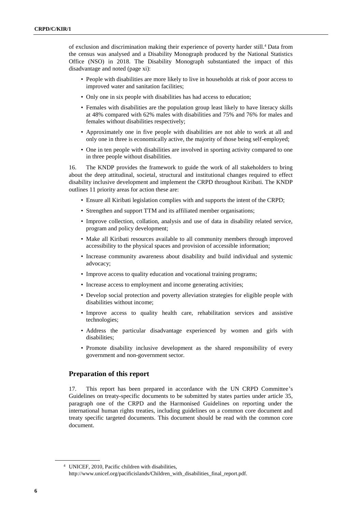of exclusion and discrimination making their experience of poverty harder still.<sup>4</sup> Data from the census was analysed and a Disability Monograph produced by the National Statistics Office (NSO) in 2018. The Disability Monograph substantiated the impact of this disadvantage and noted (page xi):

- People with disabilities are more likely to live in households at risk of poor access to improved water and sanitation facilities;
- Only one in six people with disabilities has had access to education;
- Females with disabilities are the population group least likely to have literacy skills at 48% compared with 62% males with disabilities and 75% and 76% for males and females without disabilities respectively;
- Approximately one in five people with disabilities are not able to work at all and only one in three is economically active, the majority of those being self-employed;
- One in ten people with disabilities are involved in sporting activity compared to one in three people without disabilities.

16. The KNDP provides the framework to guide the work of all stakeholders to bring about the deep attitudinal, societal, structural and institutional changes required to effect disability inclusive development and implement the CRPD throughout Kiribati. The KNDP outlines 11 priority areas for action these are:

- Ensure all Kiribati legislation complies with and supports the intent of the CRPD;
- Strengthen and support TTM and its affiliated member organisations;
- Improve collection, collation, analysis and use of data in disability related service, program and policy development;
- Make all Kiribati resources available to all community members through improved accessibility to the physical spaces and provision of accessible information;
- Increase community awareness about disability and build individual and systemic advocacy;
- Improve access to quality education and vocational training programs;
- Increase access to employment and income generating activities;
- Develop social protection and poverty alleviation strategies for eligible people with disabilities without income;
- Improve access to quality health care, rehabilitation services and assistive technologies;
- Address the particular disadvantage experienced by women and girls with disabilities;
- Promote disability inclusive development as the shared responsibility of every government and non-government sector.

#### **Preparation of this report**

17. This report has been prepared in accordance with the UN CRPD Committee's Guidelines on treaty-specific documents to be submitted by states parties under article 35, paragraph one of the CRPD and the Harmonised Guidelines on reporting under the international human rights treaties, including guidelines on a common core document and treaty specific targeted documents. This document should be read with the common core document.

<sup>4</sup> UNICEF, 2010, Pacific children with disabilities, http://www.unicef.org/pacificislands/Children\_with\_disabilities\_final\_report.pdf.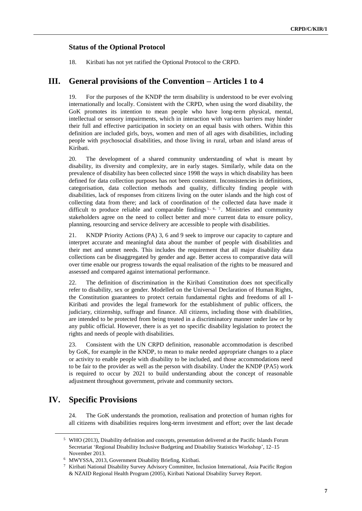#### **Status of the Optional Protocol**

18. Kiribati has not yet ratified the Optional Protocol to the CRPD.

## **III. General provisions of the Convention – Articles 1 to 4**

19. For the purposes of the KNDP the term disability is understood to be ever evolving internationally and locally. Consistent with the CRPD, when using the word disability, the GoK promotes its intention to mean people who have long-term physical, mental, intellectual or sensory impairments, which in interaction with various barriers may hinder their full and effective participation in society on an equal basis with others. Within this definition are included girls, boys, women and men of all ages with disabilities, including people with psychosocial disabilities, and those living in rural, urban and island areas of Kiribati.

20. The development of a shared community understanding of what is meant by disability, its diversity and complexity, are in early stages. Similarly, while data on the prevalence of disability has been collected since 1998 the ways in which disability has been defined for data collection purposes has not been consistent. Inconsistencies in definitions, categorisation, data collection methods and quality, difficulty finding people with disabilities, lack of responses from citizens living on the outer islands and the high cost of collecting data from there; and lack of coordination of the collected data have made it difficult to produce reliable and comparable findings<sup>5, 6, 7</sup>. Ministries and community stakeholders agree on the need to collect better and more current data to ensure policy, planning, resourcing and service delivery are accessible to people with disabilities.

21. KNDP Priority Actions (PA) 3, 6 and 9 seek to improve our capacity to capture and interpret accurate and meaningful data about the number of people with disabilities and their met and unmet needs. This includes the requirement that all major disability data collections can be disaggregated by gender and age. Better access to comparative data will over time enable our progress towards the equal realisation of the rights to be measured and assessed and compared against international performance.

22. The definition of discrimination in the Kiribati Constitution does not specifically refer to disability, sex or gender. Modelled on the Universal Declaration of Human Rights, the Constitution guarantees to protect certain fundamental rights and freedoms of all I-Kiribati and provides the legal framework for the establishment of public officers, the judiciary, citizenship, suffrage and finance. All citizens, including those with disabilities, are intended to be protected from being treated in a discriminatory manner under law or by any public official. However, there is as yet no specific disability legislation to protect the rights and needs of people with disabilities.

23. Consistent with the UN CRPD definition, reasonable accommodation is described by GoK, for example in the KNDP, to mean to make needed appropriate changes to a place or activity to enable people with disability to be included, and those accommodations need to be fair to the provider as well as the person with disability. Under the KNDP (PA5) work is required to occur by 2021 to build understanding about the concept of reasonable adjustment throughout government, private and community sectors.

## **IV. Specific Provisions**

24. The GoK understands the promotion, realisation and protection of human rights for all citizens with disabilities requires long-term investment and effort; over the last decade

<sup>5</sup> WHO (2013), Disability definition and concepts, presentation delivered at the Pacific Islands Forum Secretariat 'Regional Disability Inclusive Budgeting and Disability Statistics Workshop', 12–15 November 2013.

<sup>6</sup> MWYSSA, 2013, Government Disability Briefing, Kiribati.

<sup>7</sup> Kiribati National Disability Survey Advisory Committee, Inclusion International, Asia Pacific Region & NZAID Regional Health Program (2005), Kiribati National Disability Survey Report.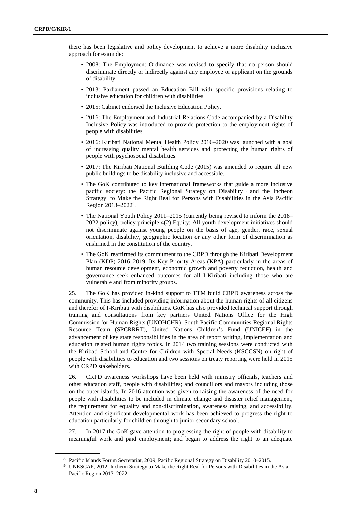there has been legislative and policy development to achieve a more disability inclusive approach for example:

- 2008: The Employment Ordinance was revised to specify that no person should discriminate directly or indirectly against any employee or applicant on the grounds of disability.
- 2013: Parliament passed an Education Bill with specific provisions relating to inclusive education for children with disabilities.
- 2015: Cabinet endorsed the Inclusive Education Policy.
- 2016: The Employment and Industrial Relations Code accompanied by a Disability Inclusive Policy was introduced to provide protection to the employment rights of people with disabilities.
- 2016: Kiribati National Mental Health Policy 2016–2020 was launched with a goal of increasing quality mental health services and protecting the human rights of people with psychosocial disabilities.
- 2017: The Kiribati National Building Code (2015) was amended to require all new public buildings to be disability inclusive and accessible.
- The GoK contributed to key international frameworks that guide a more inclusive pacific society: the Pacific Regional Strategy on Disability <sup>8</sup> and the Incheon Strategy: to Make the Right Real for Persons with Disabilities in the Asia Pacific Region 2013–2022<sup>9</sup> .
- The National Youth Policy 2011–2015 (currently being revised to inform the 2018– 2022 policy), policy principle 4(2) Equity: All youth development initiatives should not discriminate against young people on the basis of age, gender, race, sexual orientation, disability, geographic location or any other form of discrimination as enshrined in the constitution of the country.
- The GoK reaffirmed its commitment to the CRPD through the Kiribati Development Plan (KDP) 2016–2019. Its Key Priority Areas (KPA) particularly in the areas of human resource development, economic growth and poverty reduction, health and governance seek enhanced outcomes for all I-Kiribati including those who are vulnerable and from minority groups.

25. The GoK has provided in-kind support to TTM build CRPD awareness across the community. This has included providing information about the human rights of all citizens and therefor of I-Kiribati with disabilities. GoK has also provided technical support through training and consultations from key partners United Nations Office for the High Commission for Human Rights (UNOHCHR), South Pacific Communities Regional Rights Resource Team (SPCRRRT), United Nations Children's Fund (UNICEF) in the advancement of key state responsibilities in the area of report writing, implementation and education related human rights topics. In 2014 two training sessions were conducted with the Kiribati School and Centre for Children with Special Needs (KSCCSN) on right of people with disabilities to education and two sessions on treaty reporting were held in 2015 with CRPD stakeholders.

26. CRPD awareness workshops have been held with ministry officials, teachers and other education staff, people with disabilities; and councillors and mayors including those on the outer islands. In 2016 attention was given to raising the awareness of the need for people with disabilities to be included in climate change and disaster relief management, the requirement for equality and non-discrimination, awareness raising; and accessibility. Attention and significant developmental work has been achieved to progress the right to education particularly for children through to junior secondary school.

27. In 2017 the GoK gave attention to progressing the right of people with disability to meaningful work and paid employment; and began to address the right to an adequate

<sup>8</sup> Pacific Islands Forum Secretariat, 2009, Pacific Regional Strategy on Disability 2010–2015.

<sup>9</sup> UNESCAP, 2012, Incheon Strategy to Make the Right Real for Persons with Disabilities in the Asia Pacific Region 2013–2022.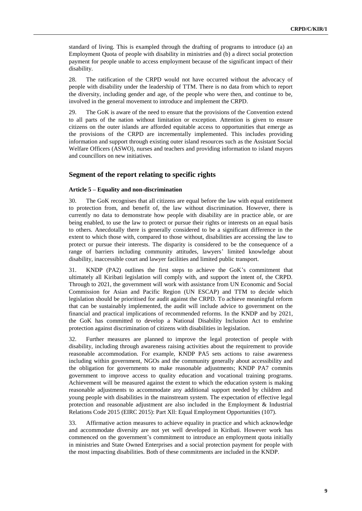standard of living. This is exampled through the drafting of programs to introduce (a) an Employment Quota of people with disability in ministries and (b) a direct social protection payment for people unable to access employment because of the significant impact of their disability.

28. The ratification of the CRPD would not have occurred without the advocacy of people with disability under the leadership of TTM. There is no data from which to report the diversity, including gender and age, of the people who were then, and continue to be, involved in the general movement to introduce and implement the CRPD.

29. The GoK is aware of the need to ensure that the provisions of the Convention extend to all parts of the nation without limitation or exception. Attention is given to ensure citizens on the outer islands are afforded equitable access to opportunities that emerge as the provisions of the CRPD are incrementally implemented. This includes providing information and support through existing outer island resources such as the Assistant Social Welfare Officers (ASWO), nurses and teachers and providing information to island mayors and councillors on new initiatives.

#### **Segment of the report relating to specific rights**

#### **Article 5 – Equality and non-discrimination**

30. The GoK recognises that all citizens are equal before the law with equal entitlement to protection from, and benefit of, the law without discrimination. However, there is currently no data to demonstrate how people with disability are in practice able, or are being enabled, to use the law to protect or pursue their rights or interests on an equal basis to others. Anecdotally there is generally considered to be a significant difference in the extent to which those with, compared to those without, disabilities are accessing the law to protect or pursue their interests. The disparity is considered to be the consequence of a range of barriers including community attitudes, lawyers' limited knowledge about disability, inaccessible court and lawyer facilities and limited public transport.

31. KNDP (PA2) outlines the first steps to achieve the GoK's commitment that ultimately all Kiribati legislation will comply with, and support the intent of, the CRPD. Through to 2021, the government will work with assistance from UN Economic and Social Commission for Asian and Pacific Region (UN ESCAP) and TTM to decide which legislation should be prioritised for audit against the CRPD. To achieve meaningful reform that can be sustainably implemented, the audit will include advice to government on the financial and practical implications of recommended reforms. In the KNDP and by 2021, the GoK has committed to develop a National Disability Inclusion Act to enshrine protection against discrimination of citizens with disabilities in legislation.

32. Further measures are planned to improve the legal protection of people with disability, including through awareness raising activities about the requirement to provide reasonable accommodation. For example, KNDP PA5 sets actions to raise awareness including within government, NGOs and the community generally about accessibility and the obligation for governments to make reasonable adjustments; KNDP PA7 commits government to improve access to quality education and vocational training programs. Achievement will be measured against the extent to which the education system is making reasonable adjustments to accommodate any additional support needed by children and young people with disabilities in the mainstream system. The expectation of effective legal protection and reasonable adjustment are also included in the Employment & Industrial Relations Code 2015 (EIRC 2015): Part Xll: Equal Employment Opportunities (107).

33. Affirmative action measures to achieve equality in practice and which acknowledge and accommodate diversity are not yet well developed in Kiribati. However work has commenced on the government's commitment to introduce an employment quota initially in ministries and State Owned Enterprises and a social protection payment for people with the most impacting disabilities. Both of these commitments are included in the KNDP.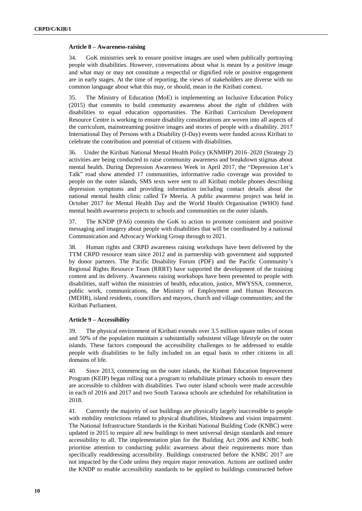#### **Article 8 – Awareness-raising**

34. GoK ministries seek to ensure positive images are used when publically portraying people with disabilities. However, conversations about what is meant by a positive image and what may or may not constitute a respectful or dignified role or positive engagement are in early stages. At the time of reporting, the views of stakeholders are diverse with no common language about what this may, or should, mean in the Kiribati context.

35. The Ministry of Education (MoE) is implementing an Inclusive Education Policy (2015) that commits to build community awareness about the right of children with disabilities to equal education opportunities. The Kiribati Curriculum Development Resource Centre is working to ensure disability considerations are woven into all aspects of the curriculum, mainstreaming positive images and stories of people with a disability. 2017 International Day of Persons with a Disability (I-Day) events were funded across Kiribati to celebrate the contribution and potential of citizens with disabilities.

36. Under the Kiribati National Mental Health Policy (KNMHP) 2016–2020 (Strategy 2) activities are being conducted to raise community awareness and breakdown stigmas about mental health. During Depression Awareness Week in April 2017, the "Depression Let's Talk" road show attended 17 communities, informative radio coverage was provided to people on the outer islands, SMS texts were sent to all Kiribati mobile phones describing depression symptoms and providing information including contact details about the national mental health clinic called Te Meeria. A public awareness project was held in October 2017 for Mental Health Day and the World Health Organisation (WHO) fund mental health awareness projects to schools and communities on the outer islands.

37. The KNDP (PA6) commits the GoK to action to promote consistent and positive messaging and imagery about people with disabilities that will be coordinated by a national Communication and Advocacy Working Group through to 2021.

38. Human rights and CRPD awareness raising workshops have been delivered by the TTM CRPD resource team since 2012 and in partnership with government and supported by donor partners. The Pacific Disability Forum (PDF) and the Pacific Community's Regional Rights Resource Team (RRRT) have supported the development of the training content and its delivery. Awareness raising workshops have been presented to people with disabilities, staff within the ministries of health, education, justice, MWYSSA, commerce, public work, communications, the Ministry of Employment and Human Resources (MEHR), island residents, councillors and mayors, church and village communities; and the Kiribati Parliament.

#### **Article 9 – Accessibility**

39. The physical environment of Kiribati extends over 3.5 million square miles of ocean and 50% of the population maintain a substantially subsistent village lifestyle on the outer islands. These factors compound the accessibility challenges to be addressed to enable people with disabilities to be fully included on an equal basis to other citizens in all domains of life.

40. Since 2013, commencing on the outer islands, the Kiribati Education Improvement Program (KEIP) began rolling out a program to rehabilitate primary schools to ensure they are accessible to children with disabilities. Two outer island schools were made accessible in each of 2016 and 2017 and two South Tarawa schools are scheduled for rehabilitation in 2018.

41. Currently the majority of our buildings are physically largely inaccessible to people with mobility restrictions related to physical disabilities, blindness and vision impairment. The National Infrastructure Standards in the Kiribati National Building Code (KNBC) were updated in 2015 to require all new buildings to meet universal design standards and ensure accessibility to all. The implementation plan for the Building Act 2006 and KNBC both prioritise attention to conducting public awareness about their requirements more than specifically readdressing accessibility. Buildings constructed before the KNBC 2017 are not impacted by the Code unless they require major renovation. Actions are outlined under the KNDP to enable accessibility standards to be applied to buildings constructed before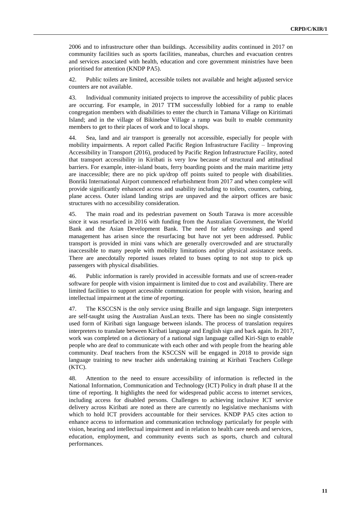2006 and to infrastructure other than buildings. Accessibility audits continued in 2017 on community facilities such as sports facilities, maneabas, churches and evacuation centres and services associated with health, education and core government ministries have been prioritised for attention (KNDP PA5).

42. Public toilets are limited, accessible toilets not available and height adjusted service counters are not available.

43. Individual community initiated projects to improve the accessibility of public places are occurring. For example, in 2017 TTM successfully lobbied for a ramp to enable congregation members with disabilities to enter the church in Tamana Village on Kiritimati Island; and in the village of Bikinebue Village a ramp was built to enable community members to get to their places of work and to local shops.

44. Sea, land and air transport is generally not accessible, especially for people with mobility impairments. A report called Pacific Region Infrastructure Facility – Improving Accessibility in Transport (2016), produced by Pacific Region Infrastructure Facility, noted that transport accessibility in Kiribati is very low because of structural and attitudinal barriers. For example, inter-island boats, ferry boarding points and the main maritime jetty are inaccessible; there are no pick up/drop off points suited to people with disabilities. Bonriki International Airport commenced refurbishment from 2017 and when complete will provide significantly enhanced access and usability including to toilets, counters, curbing, plane access. Outer island landing strips are unpaved and the airport offices are basic structures with no accessibility consideration.

45. The main road and its pedestrian pavement on South Tarawa is more accessible since it was resurfaced in 2016 with funding from the Australian Government, the World Bank and the Asian Development Bank. The need for safety crossings and speed management has arisen since the resurfacing but have not yet been addressed. Public transport is provided in mini vans which are generally overcrowded and are structurally inaccessible to many people with mobility limitations and/or physical assistance needs. There are anecdotally reported issues related to buses opting to not stop to pick up passengers with physical disabilities.

46. Public information is rarely provided in accessible formats and use of screen-reader software for people with vision impairment is limited due to cost and availability. There are limited facilities to support accessible communication for people with vision, hearing and intellectual impairment at the time of reporting.

47. The KSCCSN is the only service using Braille and sign language. Sign interpreters are self-taught using the Australian AusLan texts. There has been no single consistently used form of Kiribati sign language between islands. The process of translation requires interpreters to translate between Kiribati language and English sign and back again. In 2017, work was completed on a dictionary of a national sign language called Kiri-Sign to enable people who are deaf to communicate with each other and with people from the hearing able community. Deaf teachers from the KSCCSN will be engaged in 2018 to provide sign language training to new teacher aids undertaking training at Kiribati Teachers College (KTC).

48. Attention to the need to ensure accessibility of information is reflected in the National Information, Communication and Technology (ICT) Policy in draft phase II at the time of reporting. It highlights the need for widespread public access to internet services, including access for disabled persons. Challenges to achieving inclusive ICT service delivery across Kiribati are noted as there are currently no legislative mechanisms with which to hold ICT providers accountable for their services. KNDP PA5 cites action to enhance access to information and communication technology particularly for people with vision, hearing and intellectual impairment and in relation to health care needs and services, education, employment, and community events such as sports, church and cultural performances.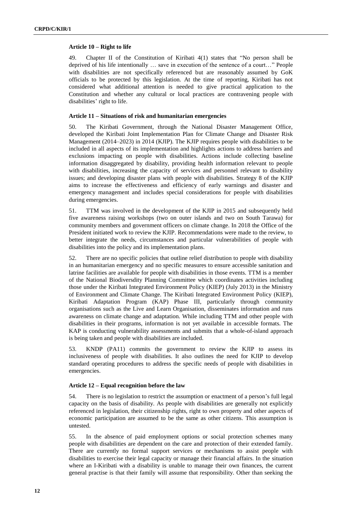#### **Article 10 – Right to life**

49. Chapter II of the Constitution of Kiribati 4(1) states that "No person shall be deprived of his life intentionally … save in execution of the sentence of a court…" People with disabilities are not specifically referenced but are reasonably assumed by GoK officials to be protected by this legislation. At the time of reporting, Kiribati has not considered what additional attention is needed to give practical application to the Constitution and whether any cultural or local practices are contravening people with disabilities' right to life.

#### **Article 11 – Situations of risk and humanitarian emergencies**

50. The Kiribati Government, through the National Disaster Management Office, developed the Kiribati Joint Implementation Plan for Climate Change and Disaster Risk Management (2014–2023) in 2014 (KJIP). The KJIP requires people with disabilities to be included in all aspects of its implementation and highlights actions to address barriers and exclusions impacting on people with disabilities. Actions include collecting baseline information disaggregated by disability, providing health information relevant to people with disabilities, increasing the capacity of services and personnel relevant to disability issues; and developing disaster plans with people with disabilities. Strategy 8 of the KJIP aims to increase the effectiveness and efficiency of early warnings and disaster and emergency management and includes special considerations for people with disabilities during emergencies.

51. TTM was involved in the development of the KJIP in 2015 and subsequently held five awareness raising workshops (two on outer islands and two on South Tarawa) for community members and government officers on climate change. In 2018 the Office of the President initiated work to review the KJIP. Recommendations were made to the review, to better integrate the needs, circumstances and particular vulnerabilities of people with disabilities into the policy and its implementation plans.

52. There are no specific policies that outline relief distribution to people with disability in an humanitarian emergency and no specific measures to ensure accessible sanitation and latrine facilities are available for people with disabilities in those events. TTM is a member of the National Biodiversdity Planning Committee which coordinates activities including those under the Kiribati Integrated Environment Policy (KIEP) (July 2013) in the Ministry of Environment and Climate Change. The Kiribati Integrated Environment Policy (KIEP), Kiribati Adaptation Program (KAP) Phase III, particularly through community organisations such as the Live and Learn Organisation, disseminates information and runs awareness on climate change and adaptation. While including TTM and other people with disabilities in their programs, information is not yet available in accessible formats. The KAP is conducting vulnerability assessments and submits that a whole-of-island approach is being taken and people with disabilities are included.

53. KNDP (PA11) commits the government to review the KJIP to assess its inclusiveness of people with disabilities. It also outlines the need for KJIP to develop standard operating procedures to address the specific needs of people with disabilities in emergencies.

#### **Article 12 – Equal recognition before the law**

54. There is no legislation to restrict the assumption or enactment of a person's full legal capacity on the basis of disability. As people with disabilities are generally not explicitly referenced in legislation, their citizenship rights, right to own property and other aspects of economic participation are assumed to be the same as other citizens. This assumption is untested.

55. In the absence of paid employment options or social protection schemes many people with disabilities are dependent on the care and protection of their extended family. There are currently no formal support services or mechanisms to assist people with disabilities to exercise their legal capacity or manage their financial affairs. In the situation where an I-Kiribati with a disability is unable to manage their own finances, the current general practise is that their family will assume that responsibility. Other than seeking the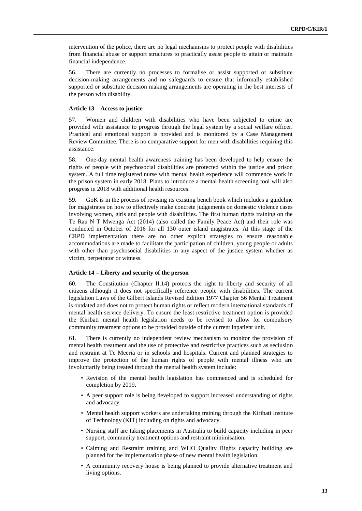intervention of the police, there are no legal mechanisms to protect people with disabilities from financial abuse or support structures to practically assist people to attain or maintain financial independence.

56. There are currently no processes to formalise or assist supported or substitute decision-making arrangements and no safeguards to ensure that informally established supported or substitute decision making arrangements are operating in the best interests of the person with disability.

#### **Article 13 – Access to justice**

57. Women and children with disabilities who have been subjected to crime are provided with assistance to progress through the legal system by a social welfare officer. Practical and emotional support is provided and is monitored by a Case Management Review Committee. There is no comparative support for men with disabilities requiring this assistance.

58. One-day mental health awareness training has been developed to help ensure the rights of people with psychosocial disabilities are protected within the justice and prison system. A full time registered nurse with mental health experience will commence work in the prison system in early 2018. Plans to introduce a mental health screening tool will also progress in 2018 with additional health resources.

59. GoK is in the process of revising its existing bench book which includes a guideline for magistrates on how to effectively make concrete judgements on domestic violence cases involving women, girls and people with disabilities. The first human rights training on the Te Rau N T Mwenga Act (2014) (also called the Family Peace Act) and their role was conducted in October of 2016 for all 130 outer island magistrates. At this stage of the CRPD implementation there are no other explicit strategies to ensure reasonable accommodations are made to facilitate the participation of children, young people or adults with other than psychosocial disabilities in any aspect of the justice system whether as victim, perpetrator or witness.

#### **Article 14 – Liberty and security of the person**

60. The Constitution (Chapter II.14) protects the right to liberty and security of all citizens although it does not specifically reference people with disabilities. The current legislation Laws of the Gilbert Islands Revised Edition 1977 Chapter 56 Mental Treatment is outdated and does not to protect human rights or reflect modern international standards of mental health service delivery. To ensure the least restrictive treatment option is provided the Kiribati mental health legislation needs to be revised to allow for compulsory community treatment options to be provided outside of the current inpatient unit.

61. There is currently no independent review mechanism to monitor the provision of mental health treatment and the use of protective and restrictive practices such as seclusion and restraint at Te Meeria or in schools and hospitals. Current and planned strategies to improve the protection of the human rights of people with mental illness who are involuntarily being treated through the mental health system include:

- Revision of the mental health legislation has commenced and is scheduled for completion by 2019.
- A peer support role is being developed to support increased understanding of rights and advocacy.
- Mental health support workers are undertaking training through the Kiribati Institute of Technology (KIT) including on rights and advocacy.
- Nursing staff are taking placements in Australia to build capacity including in peer support, community treatment options and restraint minimisation.
- Calming and Restraint training and WHO Quality Rights capacity building are planned for the implementation phase of new mental health legislation.
- A community recovery house is being planned to provide alternative treatment and living options.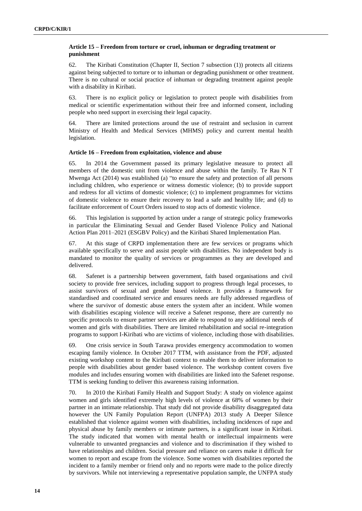#### **Article 15 – Freedom from torture or cruel, inhuman or degrading treatment or punishment**

62. The Kiribati Constitution (Chapter II, Section 7 subsection (1)) protects all citizens against being subjected to torture or to inhuman or degrading punishment or other treatment. There is no cultural or social practice of inhuman or degrading treatment against people with a disability in Kiribati.

63. There is no explicit policy or legislation to protect people with disabilities from medical or scientific experimentation without their free and informed consent, including people who need support in exercising their legal capacity.

64. There are limited protections around the use of restraint and seclusion in current Ministry of Health and Medical Services (MHMS) policy and current mental health legislation.

#### **Article 16 – Freedom from exploitation, violence and abuse**

65. In 2014 the Government passed its primary legislative measure to protect all members of the domestic unit from violence and abuse within the family. Te Rau N T Mwenga Act (2014) was established (a) "to ensure the safety and protection of all persons including children, who experience or witness domestic violence; (b) to provide support and redress for all victims of domestic violence; (c) to implement programmes for victims of domestic violence to ensure their recovery to lead a safe and healthy life; and (d) to facilitate enforcement of Court Orders issued to stop acts of domestic violence.

66. This legislation is supported by action under a range of strategic policy frameworks in particular the Eliminating Sexual and Gender Based Violence Policy and National Action Plan 2011–2021 (ESGBV Policy) and the Kiribati Shared Implementation Plan.

67. At this stage of CRPD implementation there are few services or programs which available specifically to serve and assist people with disabilities. No independent body is mandated to monitor the quality of services or programmes as they are developed and delivered.

68. Safenet is a partnership between government, faith based organisations and civil society to provide free services, including support to progress through legal processes, to assist survivors of sexual and gender based violence. It provides a framework for standardised and coordinated service and ensures needs are fully addressed regardless of where the survivor of domestic abuse enters the system after an incident. While women with disabilities escaping violence will receive a Safenet response, there are currently no specific protocols to ensure partner services are able to respond to any additional needs of women and girls with disabilities. There are limited rehabilitation and social re-integration programs to support I-Kiribati who are victims of violence, including those with disabilities.

69. One crisis service in South Tarawa provides emergency accommodation to women escaping family violence. In October 2017 TTM, with assistance from the PDF, adjusted existing workshop content to the Kiribati context to enable them to deliver information to people with disabilities about gender based violence. The workshop content covers five modules and includes ensuring women with disabilities are linked into the Safenet response. TTM is seeking funding to deliver this awareness raising information.

70. In 2010 the Kiribati Family Health and Support Study: A study on violence against women and girls identified extremely high levels of violence at 68% of women by their partner in an intimate relationship. That study did not provide disability disaggregated data however the UN Family Population Report (UNFPA) 2013 study A Deeper Silence established that violence against women with disabilities, including incidences of rape and physical abuse by family members or intimate partners, is a significant issue in Kiribati. The study indicated that women with mental health or intellectual impairments were vulnerable to unwanted pregnancies and violence and to discrimination if they wished to have relationships and children. Social pressure and reliance on carers make it difficult for women to report and escape from the violence. Some women with disabilities reported the incident to a family member or friend only and no reports were made to the police directly by survivors. While not interviewing a representative population sample, the UNFPA study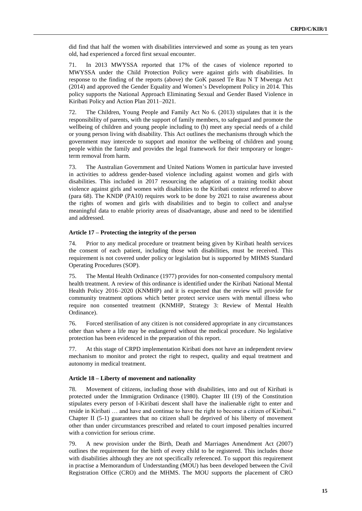did find that half the women with disabilities interviewed and some as young as ten years old, had experienced a forced first sexual encounter.

71. In 2013 MWYSSA reported that 17% of the cases of violence reported to MWYSSA under the Child Protection Policy were against girls with disabilities. In response to the finding of the reports (above) the GoK passed Te Rau N T Mwenga Act (2014) and approved the Gender Equality and Women's Development Policy in 2014. This policy supports the National Approach Eliminating Sexual and Gender Based Violence in Kiribati Policy and Action Plan 2011–2021.

72. The Children, Young People and Family Act No 6. (2013) stipulates that it is the responsibility of parents, with the support of family members, to safeguard and promote the wellbeing of children and young people including to (h) meet any special needs of a child or young person living with disability. This Act outlines the mechanisms through which the government may intercede to support and monitor the wellbeing of children and young people within the family and provides the legal framework for their temporary or longerterm removal from harm.

73. The Australian Government and United Nations Women in particular have invested in activities to address gender-based violence including against women and girls with disabilities. This included in 2017 resourcing the adaption of a training toolkit about violence against girls and women with disabilities to the Kiribati context referred to above (para 68). The KNDP (PA10) requires work to be done by 2021 to raise awareness about the rights of women and girls with disabilities and to begin to collect and analyse meaningful data to enable priority areas of disadvantage, abuse and need to be identified and addressed.

#### **Article 17 – Protecting the integrity of the person**

74. Prior to any medical procedure or treatment being given by Kiribati health services the consent of each patient, including those with disabilities, must be received. This requirement is not covered under policy or legislation but is supported by MHMS Standard Operating Procedures (SOP).

75. The Mental Health Ordinance (1977) provides for non-consented compulsory mental health treatment. A review of this ordinance is identified under the Kiribati National Mental Health Policy 2016–2020 (KNMHP) and it is expected that the review will provide for community treatment options which better protect service users with mental illness who require non consented treatment (KNMHP, Strategy 3: Review of Mental Health Ordinance).

76. Forced sterilisation of any citizen is not considered appropriate in any circumstances other than where a life may be endangered without the medical procedure. No legislative protection has been evidenced in the preparation of this report.

77. At this stage of CRPD implementation Kiribati does not have an independent review mechanism to monitor and protect the right to respect, quality and equal treatment and autonomy in medical treatment.

#### **Article 18 – Liberty of movement and nationality**

78. Movement of citizens, including those with disabilities, into and out of Kiribati is protected under the Immigration Ordinance (1980). Chapter III (19) of the Constitution stipulates every person of I-Kiribati descent shall have the inalienable right to enter and reside in Kiribati … and have and continue to have the right to become a citizen of Kiribati." Chapter II (5-1) guarantees that no citizen shall be deprived of his liberty of movement other than under circumstances prescribed and related to court imposed penalties incurred with a conviction for serious crime.

79. A new provision under the Birth, Death and Marriages Amendment Act (2007) outlines the requirement for the birth of every child to be registered. This includes those with disabilities although they are not specifically referenced. To support this requirement in practise a Memorandum of Understanding (MOU) has been developed between the Civil Registration Office (CRO) and the MHMS. The MOU supports the placement of CRO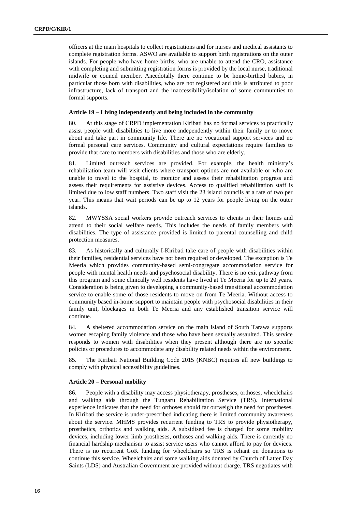officers at the main hospitals to collect registrations and for nurses and medical assistants to complete registration forms. ASWO are available to support birth registrations on the outer islands. For people who have home births, who are unable to attend the CRO, assistance with completing and submitting registration forms is provided by the local nurse, traditional midwife or council member. Anecdotally there continue to be home-birthed babies, in particular those born with disabilities, who are not registered and this is attributed to poor infrastructure, lack of transport and the inaccessibility/isolation of some communities to formal supports.

#### **Article 19 – Living independently and being included in the community**

80. At this stage of CRPD implementation Kiribati has no formal services to practically assist people with disabilities to live more independently within their family or to move about and take part in community life. There are no vocational support services and no formal personal care services. Community and cultural expectations require families to provide that care to members with disabilities and those who are elderly.

81. Limited outreach services are provided. For example, the health ministry's rehabilitation team will visit clients where transport options are not available or who are unable to travel to the hospital, to monitor and assess their rehabilitation progress and assess their requirements for assistive devices. Access to qualified rehabilitation staff is limited due to low staff numbers. Two staff visit the 23 island councils at a rate of two per year. This means that wait periods can be up to 12 years for people living on the outer islands.

82. MWYSSA social workers provide outreach services to clients in their homes and attend to their social welfare needs. This includes the needs of family members with disabilities. The type of assistance provided is limited to parental counselling and child protection measures.

83. As historically and culturally I-Kiribati take care of people with disabilities within their families, residential services have not been required or developed. The exception is Te Meeria which provides community-based semi-congregate accommodation service for people with mental health needs and psychosocial disability. There is no exit pathway from this program and some clinically well residents have lived at Te Meeria for up to 20 years. Consideration is being given to developing a community-based transitional accommodation service to enable some of those residents to move on from Te Meeria. Without access to community based in-home support to maintain people with psychosocial disabilities in their family unit, blockages in both Te Meeria and any established transition service will continue.

84. A sheltered accommodation service on the main island of South Tarawa supports women escaping family violence and those who have been sexually assaulted. This service responds to women with disabilities when they present although there are no specific policies or procedures to accommodate any disability related needs within the environment.

85. The Kiribati National Building Code 2015 (KNBC) requires all new buildings to comply with physical accessibility guidelines.

#### **Article 20 – Personal mobility**

86. People with a disability may access physiotherapy, prostheses, orthoses, wheelchairs and walking aids through the Tungaru Rehabilitation Service (TRS). International experience indicates that the need for orthoses should far outweigh the need for prostheses. In Kiribati the service is under-prescribed indicating there is limited community awareness about the service. MHMS provides recurrent funding to TRS to provide physiotherapy, prosthetics, orthotics and walking aids. A subsidised fee is charged for some mobility devices, including lower limb prostheses, orthoses and walking aids. There is currently no financial hardship mechanism to assist service users who cannot afford to pay for devices. There is no recurrent GoK funding for wheelchairs so TRS is reliant on donations to continue this service. Wheelchairs and some walking aids donated by Church of Latter Day Saints (LDS) and Australian Government are provided without charge. TRS negotiates with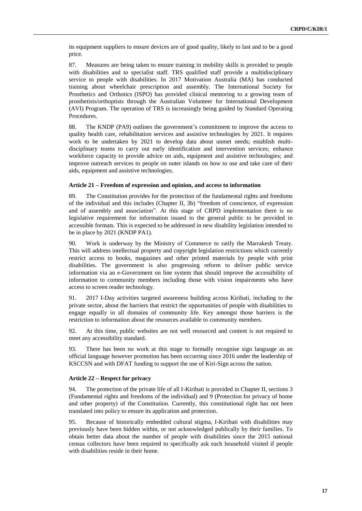its equipment suppliers to ensure devices are of good quality, likely to last and to be a good price.

87. Measures are being taken to ensure training in mobility skills is provided to people with disabilities and to specialist staff. TRS qualified staff provide a multidisciplinary service to people with disabilities. In 2017 Motivation Australia (MA) has conducted training about wheelchair prescription and assembly. The International Society for Prosthetics and Orthotics (ISPO) has provided clinical mentoring to a growing team of prosthetists/orthoptists through the Australian Volunteer for International Development (AVI) Program. The operation of TRS is increasingly being guided by Standard Operating Procedures.

88. The KNDP (PA9) outlines the government's commitment to improve the access to quality health care, rehabilitation services and assistive technologies by 2021. It requires work to be undertaken by 2021 to develop data about unmet needs; establish multidisciplinary teams to carry out early identification and intervention services; enhance workforce capacity to provide advice on aids, equipment and assistive technologies; and improve outreach services to people on outer islands on how to use and take care of their aids, equipment and assistive technologies.

#### **Article 21 – Freedom of expression and opinion, and access to information**

89. The Constitution provides for the protection of the fundamental rights and freedoms of the individual and this includes (Chapter II, 3b) "freedom of conscience, of expression and of assembly and association". At this stage of CRPD implementation there is no legislative requirement for information issued to the general public to be provided in accessible formats. This is expected to be addressed in new disability legislation intended to be in place by 2021 (KNDP PA1).

90. Work is underway by the Ministry of Commerce to ratify the Marrakesh Treaty. This will address intellectual property and copyright legislation restrictions which currently restrict access to books, magazines and other printed materials by people with print disabilities. The government is also progressing reform to deliver public service information via an e-Government on line system that should improve the accessibility of information to community members including those with vision impairments who have access to screen reader technology.

91. 2017 I-Day activities targeted awareness building across Kiribati, including to the private sector, about the barriers that restrict the opportunities of people with disabilities to engage equally in all domains of community life. Key amongst those barriers is the restriction to information about the resources available to community members.

92. At this time, public websites are not well resourced and content is not required to meet any accessibility standard.

93. There has been no work at this stage to formally recognise sign language as an official language however promotion has been occurring since 2016 under the leadership of KSCCSN and with DFAT funding to support the use of Kiri-Sign across the nation.

#### **Article 22 – Respect for privacy**

94. The protection of the private life of all I-Kiribati is provided in Chapter II, sections 3 (Fundamental rights and freedoms of the individual) and 9 (Protection for privacy of home and other property) of the Constitution. Currently, this constitutional right has not been translated into policy to ensure its application and protection.

95. Because of historically embedded cultural stigma, I-Kiribati with disabilities may previously have been hidden within, or not acknowledged publically by their families. To obtain better data about the number of people with disabilities since the 2015 national census collectors have been required to specifically ask each household visited if people with disabilities reside in their home.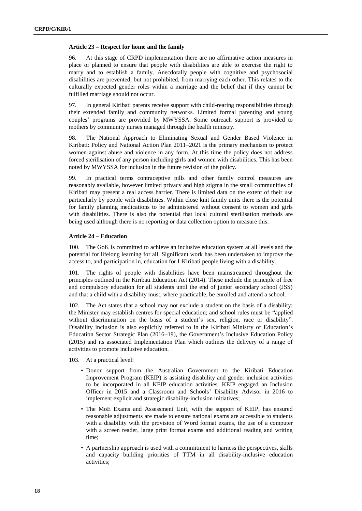#### **Article 23 – Respect for home and the family**

96. At this stage of CRPD implementation there are no affirmative action measures in place or planned to ensure that people with disabilities are able to exercise the right to marry and to establish a family. Anecdotally people with cognitive and psychosocial disabilities are prevented, but not prohibited, from marrying each other. This relates to the culturally expected gender roles within a marriage and the belief that if they cannot be fulfilled marriage should not occur.

97. In general Kiribati parents receive support with child-rearing responsibilities through their extended family and community networks. Limited formal parenting and young couples' programs are provided by MWYSSA. Some outreach support is provided to mothers by community nurses managed through the health ministry.

98. The National Approach to Eliminating Sexual and Gender Based Violence in Kiribati: Policy and National Action Plan 2011–2021 is the primary mechanism to protect women against abuse and violence in any form. At this time the policy does not address forced sterilisation of any person including girls and women with disabilities. This has been noted by MWYSSA for inclusion in the future revision of the policy.

99. In practical terms contraceptive pills and other family control measures are reasonably available, however limited privacy and high stigma in the small communities of Kiribati may present a real access barrier. There is limited data on the extent of their use particularly by people with disabilities. Within close knit family units there is the potential for family planning medications to be administered without consent to women and girls with disabilities. There is also the potential that local cultural sterilisation methods are being used although there is no reporting or data collection option to measure this.

#### **Article 24 – Education**

100. The GoK is committed to achieve an inclusive education system at all levels and the potential for lifelong learning for all. Significant work has been undertaken to improve the access to, and participation in, education for I-Kiribati people living with a disability.

101. The rights of people with disabilities have been mainstreamed throughout the principles outlined in the Kiribati Education Act (2014). These include the principle of free and compulsory education for all students until the end of junior secondary school (JSS) and that a child with a disability must, where practicable, be enrolled and attend a school.

102. The Act states that a school may not exclude a student on the basis of a disability; the Minister may establish centres for special education; and school rules must be "applied without discrimination on the basis of a student's sex, religion, race or disability". Disability inclusion is also explicitly referred to in the Kiribati Ministry of Education's Education Sector Strategic Plan (2016–19), the Government's Inclusive Education Policy (2015) and its associated Implementation Plan which outlines the delivery of a range of activities to promote inclusive education.

- 103. At a practical level:
	- Donor support from the Australian Government to the Kiribati Education Improvement Program (KEIP) is assisting disability and gender inclusion activities to be incorporated in all KEIP education activities. KEIP engaged an Inclusion Officer in 2015 and a Classroom and Schools' Disability Advisor in 2016 to implement explicit and strategic disability-inclusion initiatives;
	- The MoE Exams and Assessment Unit, with the support of KEIP, has ensured reasonable adjustments are made to ensure national exams are accessible to students with a disability with the provision of Word format exams, the use of a computer with a screen reader, large print format exams and additional reading and writing time;
	- A partnership approach is used with a commitment to harness the perspectives, skills and capacity building priorities of TTM in all disability-inclusive education activities;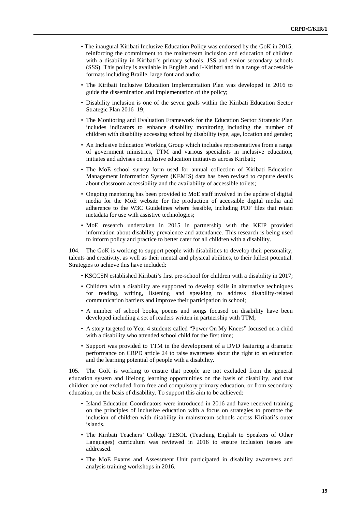- The inaugural Kiribati Inclusive Education Policy was endorsed by the GoK in 2015, reinforcing the commitment to the mainstream inclusion and education of children with a disability in Kiribati's primary schools, JSS and senior secondary schools (SSS). This policy is available in English and I-Kiribati and in a range of accessible formats including Braille, large font and audio;
- The Kiribati Inclusive Education Implementation Plan was developed in 2016 to guide the dissemination and implementation of the policy;
- Disability inclusion is one of the seven goals within the Kiribati Education Sector Strategic Plan 2016–19;
- The Monitoring and Evaluation Framework for the Education Sector Strategic Plan includes indicators to enhance disability monitoring including the number of children with disability accessing school by disability type, age, location and gender;
- An Inclusive Education Working Group which includes representatives from a range of government ministries, TTM and various specialists in inclusive education, initiates and advises on inclusive education initiatives across Kiribati;
- The MoE school survey form used for annual collection of Kiribati Education Management Information System (KEMIS) data has been revised to capture details about classroom accessibility and the availability of accessible toilets;
- Ongoing mentoring has been provided to MoE staff involved in the update of digital media for the MoE website for the production of accessible digital media and adherence to the W3C Guidelines where feasible, including PDF files that retain metadata for use with assistive technologies;
- MoE research undertaken in 2015 in partnership with the KEIP provided information about disability prevalence and attendance. This research is being used to inform policy and practice to better cater for all children with a disability.

104. The GoK is working to support people with disabilities to develop their personality, talents and creativity, as well as their mental and physical abilities, to their fullest potential. Strategies to achieve this have included:

- KSCCSN established Kiribati's first pre-school for children with a disability in 2017;
- Children with a disability are supported to develop skills in alternative techniques for reading, writing, listening and speaking to address disability-related communication barriers and improve their participation in school;
- A number of school books, poems and songs focused on disability have been developed including a set of readers written in partnership with TTM;
- A story targeted to Year 4 students called "Power On My Knees" focused on a child with a disability who attended school child for the first time;
- Support was provided to TTM in the development of a DVD featuring a dramatic performance on CRPD article 24 to raise awareness about the right to an education and the learning potential of people with a disability.

105. The GoK is working to ensure that people are not excluded from the general education system and lifelong learning opportunities on the basis of disability, and that children are not excluded from free and compulsory primary education, or from secondary education, on the basis of disability. To support this aim to be achieved:

- Island Education Coordinators were introduced in 2016 and have received training on the principles of inclusive education with a focus on strategies to promote the inclusion of children with disability in mainstream schools across Kiribati's outer islands.
- The Kiribati Teachers' College TESOL (Teaching English to Speakers of Other Languages) curriculum was reviewed in 2016 to ensure inclusion issues are addressed.
- The MoE Exams and Assessment Unit participated in disability awareness and analysis training workshops in 2016.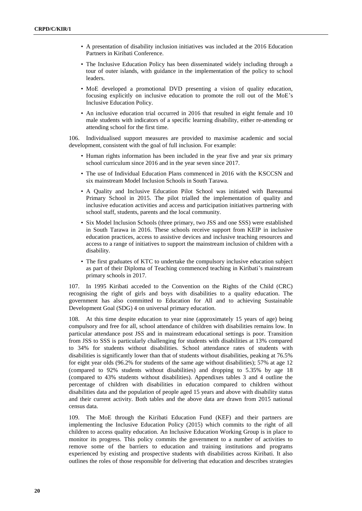- A presentation of disability inclusion initiatives was included at the 2016 Education Partners in Kiribati Conference.
- The Inclusive Education Policy has been disseminated widely including through a tour of outer islands, with guidance in the implementation of the policy to school leaders.
- MoE developed a promotional DVD presenting a vision of quality education, focusing explicitly on inclusive education to promote the roll out of the MoE's Inclusive Education Policy.
- An inclusive education trial occurred in 2016 that resulted in eight female and 10 male students with indicators of a specific learning disability, either re-attending or attending school for the first time.

106. Individualised support measures are provided to maximise academic and social development, consistent with the goal of full inclusion. For example:

- Human rights information has been included in the year five and year six primary school curriculum since 2016 and in the year seven since 2017.
- The use of Individual Education Plans commenced in 2016 with the KSCCSN and six mainstream Model Inclusion Schools in South Tarawa.
- A Quality and Inclusive Education Pilot School was initiated with Bareaumai Primary School in 2015. The pilot trialled the implementation of quality and inclusive education activities and access and participation initiatives partnering with school staff, students, parents and the local community.
- Six Model Inclusion Schools (three primary, two JSS and one SSS) were established in South Tarawa in 2016. These schools receive support from KEIP in inclusive education practices, access to assistive devices and inclusive teaching resources and access to a range of initiatives to support the mainstream inclusion of children with a disability.
- The first graduates of KTC to undertake the compulsory inclusive education subject as part of their Diploma of Teaching commenced teaching in Kiribati's mainstream primary schools in 2017.

107. In 1995 Kiribati acceded to the Convention on the Rights of the Child (CRC) recognising the right of girls and boys with disabilities to a quality education. The government has also committed to Education for All and to achieving Sustainable Development Goal (SDG) 4 on universal primary education.

108. At this time despite education to year nine (approximately 15 years of age) being compulsory and free for all, school attendance of children with disabilities remains low. In particular attendance post JSS and in mainstream educational settings is poor. Transition from JSS to SSS is particularly challenging for students with disabilities at 13% compared to 34% for students without disabilities. School attendance rates of students with disabilities is significantly lower than that of students without disabilities, peaking at 76.5% for eight year olds (96.2% for students of the same age without disabilities); 57% at age 12 (compared to 92% students without disabilities) and dropping to 5.35% by age 18 (compared to 43% students without disabilities). Appendixes tables 3 and 4 outline the percentage of children with disabilities in education compared to children without disabilities data and the population of people aged 15 years and above with disability status and their current activity. Both tables and the above data are drawn from 2015 national census data.

109. The MoE through the Kiribati Education Fund (KEF) and their partners are implementing the Inclusive Education Policy (2015) which commits to the right of all children to access quality education. An Inclusive Education Working Group is in place to monitor its progress. This policy commits the government to a number of activities to remove some of the barriers to education and training institutions and programs experienced by existing and prospective students with disabilities across Kiribati. It also outlines the roles of those responsible for delivering that education and describes strategies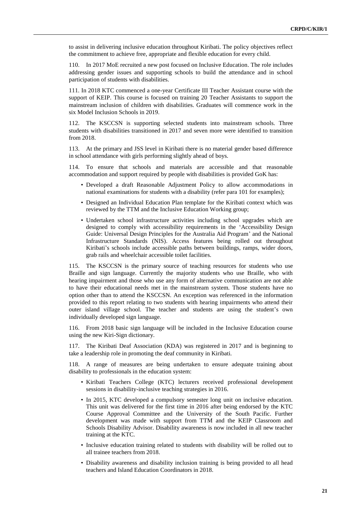to assist in delivering inclusive education throughout Kiribati. The policy objectives reflect the commitment to achieve free, appropriate and flexible education for every child.

110. In 2017 MoE recruited a new post focused on Inclusive Education. The role includes addressing gender issues and supporting schools to build the attendance and in school participation of students with disabilities.

111. In 2018 KTC commenced a one-year Certificate III Teacher Assistant course with the support of KEIP. This course is focused on training 20 Teacher Assistants to support the mainstream inclusion of children with disabilities. Graduates will commence work in the six Model Inclusion Schools in 2019.

112. The KSCCSN is supporting selected students into mainstream schools. Three students with disabilities transitioned in 2017 and seven more were identified to transition from 2018.

113. At the primary and JSS level in Kiribati there is no material gender based difference in school attendance with girls performing slightly ahead of boys.

114. To ensure that schools and materials are accessible and that reasonable accommodation and support required by people with disabilities is provided GoK has:

- Developed a draft Reasonable Adjustment Policy to allow accommodations in national examinations for students with a disability (refer para 101 for examples);
- Designed an Individual Education Plan template for the Kiribati context which was reviewed by the TTM and the Inclusive Education Working group;
- Undertaken school infrastructure activities including school upgrades which are designed to comply with accessibility requirements in the 'Accessibility Design Guide: Universal Design Principles for the Australia Aid Program' and the National Infrastructure Standards (NIS). Access features being rolled out throughout Kiribati's schools include accessible paths between buildings, ramps, wider doors, grab rails and wheelchair accessible toilet facilities.

115. The KSCCSN is the primary source of teaching resources for students who use Braille and sign language. Currently the majority students who use Braille, who with hearing impairment and those who use any form of alternative communication are not able to have their educational needs met in the mainstream system. Those students have no option other than to attend the KSCCSN. An exception was referenced in the information provided to this report relating to two students with hearing impairments who attend their outer island village school. The teacher and students are using the student's own individually developed sign language.

116. From 2018 basic sign language will be included in the Inclusive Education course using the new Kiri-Sign dictionary.

117. The Kiribati Deaf Association (KDA) was registered in 2017 and is beginning to take a leadership role in promoting the deaf community in Kiribati.

118. A range of measures are being undertaken to ensure adequate training about disability to professionals in the education system:

- Kiribati Teachers College (KTC) lecturers received professional development sessions in disability-inclusive teaching strategies in 2016.
- In 2015, KTC developed a compulsory semester long unit on inclusive education. This unit was delivered for the first time in 2016 after being endorsed by the KTC Course Approval Committee and the University of the South Pacific. Further development was made with support from TTM and the KEIP Classroom and Schools Disability Advisor. Disability awareness is now included in all new teacher training at the KTC.
- Inclusive education training related to students with disability will be rolled out to all trainee teachers from 2018.
- Disability awareness and disability inclusion training is being provided to all head teachers and Island Education Coordinators in 2018.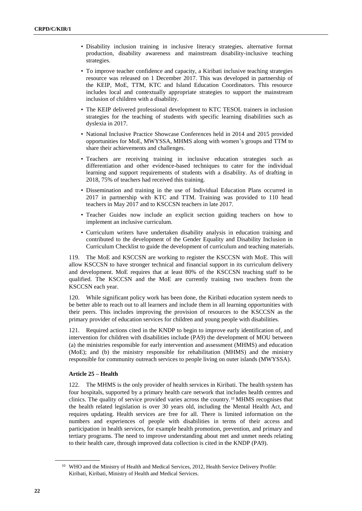- Disability inclusion training in inclusive literacy strategies, alternative format production, disability awareness and mainstream disability-inclusive teaching strategies.
- To improve teacher confidence and capacity, a Kiribati inclusive teaching strategies resource was released on 1 December 2017. This was developed in partnership of the KEIP, MoE, TTM, KTC and Island Education Coordinators. This resource includes local and contextually appropriate strategies to support the mainstream inclusion of children with a disability.
- The KEIP delivered professional development to KTC TESOL trainers in inclusion strategies for the teaching of students with specific learning disabilities such as dyslexia in 2017.
- National Inclusive Practice Showcase Conferences held in 2014 and 2015 provided opportunities for MoE, MWYSSA, MHMS along with women's groups and TTM to share their achievements and challenges.
- Teachers are receiving training in inclusive education strategies such as differentiation and other evidence-based techniques to cater for the individual learning and support requirements of students with a disability. As of drafting in 2018, 75% of teachers had received this training.
- Dissemination and training in the use of Individual Education Plans occurred in 2017 in partnership with KTC and TTM. Training was provided to 110 head teachers in May 2017 and to KSCCSN teachers in late 2017.
- Teacher Guides now include an explicit section guiding teachers on how to implement an inclusive curriculum.
- Curriculum writers have undertaken disability analysis in education training and contributed to the development of the Gender Equality and Disability Inclusion in Curriculum Checklist to guide the development of curriculum and teaching materials.

119. The MoE and KSCCSN are working to register the KSCCSN with MoE. This will allow KSCCSN to have stronger technical and financial support in its curriculum delivery and development. MoE requires that at least 80% of the KSCCSN teaching staff to be qualified. The KSCCSN and the MoE are currently training two teachers from the KSCCSN each year.

120. While significant policy work has been done, the Kiribati education system needs to be better able to reach out to all learners and include them in all learning opportunities with their peers. This includes improving the provision of resources to the KSCCSN as the primary provider of education services for children and young people with disabilities.

121. Required actions cited in the KNDP to begin to improve early identification of, and intervention for children with disabilities include (PA9) the development of MOU between (a) the ministries responsible for early intervention and assessment (MHMS) and education (MoE); and (b) the ministry responsible for rehabilitation (MHMS) and the ministry responsible for community outreach services to people living on outer islands (MWYSSA).

#### **Article 25 – Health**

122. The MHMS is the only provider of health services in Kiribati. The health system has four hospitals, supported by a primary health care network that includes health centres and clinics. The quality of service provided varies across the country.<sup>10</sup> MHMS recognises that the health related legislation is over 30 years old, including the Mental Health Act, and requires updating. Health services are free for all. There is limited information on the numbers and experiences of people with disabilities in terms of their access and participation in health services, for example health promotion, prevention, and primary and tertiary programs. The need to improve understanding about met and unmet needs relating to their health care, through improved data collection is cited in the KNDP (PA9).

<sup>&</sup>lt;sup>10</sup> WHO and the Ministry of Health and Medical Services, 2012, Health Service Delivery Profile: Kiribati, Kiribati, Ministry of Health and Medical Services.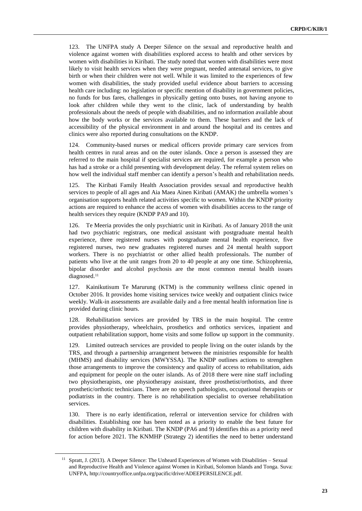123. The UNFPA study A Deeper Silence on the sexual and reproductive health and violence against women with disabilities explored access to health and other services by women with disabilities in Kiribati. The study noted that women with disabilities were most likely to visit health services when they were pregnant, needed antenatal services, to give birth or when their children were not well. While it was limited to the experiences of few women with disabilities, the study provided useful evidence about barriers to accessing health care including: no legislation or specific mention of disability in government policies, no funds for bus fares, challenges in physically getting onto buses, not having anyone to look after children while they went to the clinic, lack of understanding by health professionals about the needs of people with disabilities, and no information available about how the body works or the services available to them. These barriers and the lack of accessibility of the physical environment in and around the hospital and its centres and clinics were also reported during consultations on the KNDP.

124. Community-based nurses or medical officers provide primary care services from health centres in rural areas and on the outer islands. Once a person is assessed they are referred to the main hospital if specialist services are required, for example a person who has had a stroke or a child presenting with development delay. The referral system relies on how well the individual staff member can identify a person's health and rehabilitation needs.

125. The Kiribati Family Health Association provides sexual and reproductive health services to people of all ages and Aia Maea Ainen Kiribati (AMAK) the umbrella women's organisation supports health related activities specific to women. Within the KNDP priority actions are required to enhance the access of women with disabilities access to the range of health services they require (KNDP PA9 and 10).

126. Te Meeria provides the only psychiatric unit in Kiribati. As of January 2018 the unit had two psychiatric registrars, one medical assistant with postgraduate mental health experience, three registered nurses with postgraduate mental health experience, five registered nurses, two new graduates registered nurses and 24 mental health support workers. There is no psychiatrist or other allied health professionals. The number of patients who live at the unit ranges from 20 to 40 people at any one time. Schizophrenia, bipolar disorder and alcohol psychosis are the most common mental health issues diagnosed.<sup>11</sup>

127. Kainikutisum Te Marurung (KTM) is the community wellness clinic opened in October 2016. It provides home visiting services twice weekly and outpatient clinics twice weekly. Walk-in assessments are available daily and a free mental health information line is provided during clinic hours.

Rehabilitation services are provided by TRS in the main hospital. The centre provides physiotherapy, wheelchairs, prosthetics and orthotics services, inpatient and outpatient rehabilitation support, home visits and some follow up support in the community.

129. Limited outreach services are provided to people living on the outer islands by the TRS, and through a partnership arrangement between the ministries responsible for health (MHMS) and disability services (MWYSSA). The KNDP outlines actions to strengthen those arrangements to improve the consistency and quality of access to rehabilitation, aids and equipment for people on the outer islands. As of 2018 there were nine staff including two physiotherapists, one physiotherapy assistant, three prosthetist/orthotists, and three prosthetic/orthotic technicians. There are no speech pathologists, occupational therapists or podiatrists in the country. There is no rehabilitation specialist to oversee rehabilitation services.

130. There is no early identification, referral or intervention service for children with disabilities. Establishing one has been noted as a priority to enable the best future for children with disability in Kiribati. The KNDP (PA6 and 9) identifies this as a priority need for action before 2021. The KNMHP (Strategy 2) identifies the need to better understand

<sup>11</sup> Spratt, J. (2013). A Deeper Silence: The Unheard Experiences of Women with Disabilities – Sexual and Reproductive Health and Violence against Women in Kiribati, Solomon Islands and Tonga. Suva: UNFPA[, http://countryoffice.unfpa.org/pacific/drive/ADEEPERSILENCE.pdf.](http://countryoffice.unfpa.org/pacific/drive/ADEEPERSILENCE.pdf)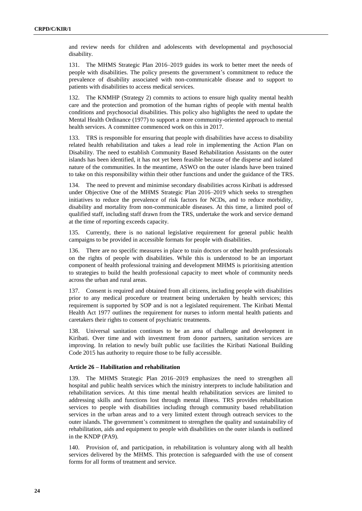and review needs for children and adolescents with developmental and psychosocial disability.

131. The MHMS Strategic Plan 2016–2019 guides its work to better meet the needs of people with disabilities. The policy presents the government's commitment to reduce the prevalence of disability associated with non-communicable disease and to support to patients with disabilities to access medical services.

132. The KNMHP (Strategy 2) commits to actions to ensure high quality mental health care and the protection and promotion of the human rights of people with mental health conditions and psychosocial disabilities. This policy also highlights the need to update the Mental Health Ordinance (1977) to support a more community-oriented approach to mental health services. A committee commenced work on this in 2017.

133. TRS is responsible for ensuring that people with disabilities have access to disability related health rehabilitation and takes a lead role in implementing the Action Plan on Disability. The need to establish Community Based Rehabilitation Assistants on the outer islands has been identified, it has not yet been feasible because of the disperse and isolated nature of the communities. In the meantime, ASWO on the outer islands have been trained to take on this responsibility within their other functions and under the guidance of the TRS.

134. The need to prevent and minimise secondary disabilities across Kiribati is addressed under Objective One of the MHMS Strategic Plan 2016–2019 which seeks to strengthen initiatives to reduce the prevalence of risk factors for NCDs, and to reduce morbidity, disability and mortality from non-communicable diseases. At this time, a limited pool of qualified staff, including staff drawn from the TRS, undertake the work and service demand at the time of reporting exceeds capacity.

135. Currently, there is no national legislative requirement for general public health campaigns to be provided in accessible formats for people with disabilities.

136. There are no specific measures in place to train doctors or other health professionals on the rights of people with disabilities. While this is understood to be an important component of health professional training and development MHMS is prioritising attention to strategies to build the health professional capacity to meet whole of community needs across the urban and rural areas.

137. Consent is required and obtained from all citizens, including people with disabilities prior to any medical procedure or treatment being undertaken by health services; this requirement is supported by SOP and is not a legislated requirement. The Kiribati Mental Health Act 1977 outlines the requirement for nurses to inform mental health patients and caretakers their rights to consent of psychiatric treatments.

138. Universal sanitation continues to be an area of challenge and development in Kiribati. Over time and with investment from donor partners, sanitation services are improving. In relation to newly built public use facilities the Kiribati National Building Code 2015 has authority to require those to be fully accessible.

#### **Article 26 – Habilitation and rehabilitation**

139. The MHMS Strategic Plan 2016–2019 emphasizes the need to strengthen all hospital and public health services which the ministry interprets to include habilitation and rehabilitation services. At this time mental health rehabilitation services are limited to addressing skills and functions lost through mental illness. TRS provides rehabilitation services to people with disabilities including through community based rehabilitation services in the urban areas and to a very limited extent through outreach services to the outer islands. The government's commitment to strengthen the quality and sustainability of rehabilitation, aids and equipment to people with disabilities on the outer islands is outlined in the KNDP (PA9).

140. Provision of, and participation, in rehabilitation is voluntary along with all health services delivered by the MHMS. This protection is safeguarded with the use of consent forms for all forms of treatment and service.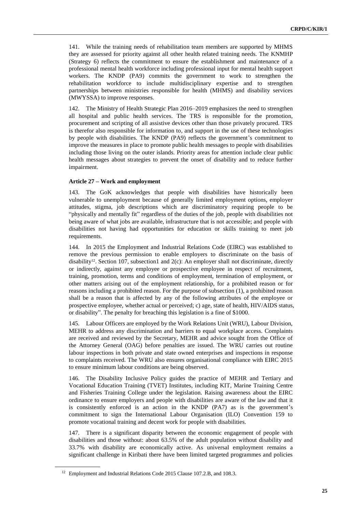141. While the training needs of rehabilitation team members are supported by MHMS they are assessed for priority against all other health related training needs. The KNMHP (Strategy 6) reflects the commitment to ensure the establishment and maintenance of a professional mental health workforce including professional input for mental health support workers. The KNDP (PA9) commits the government to work to strengthen the rehabilitation workforce to include multidisciplinary expertise and to strengthen partnerships between ministries responsible for health (MHMS) and disability services (MWYSSA) to improve responses.

142. The Ministry of Health Strategic Plan 2016–2019 emphasizes the need to strengthen all hospital and public health services. The TRS is responsible for the promotion, procurement and scripting of all assistive devices other than those privately procured. TRS is therefor also responsible for information to, and support in the use of these technologies by people with disabilities. The KNDP (PA9) reflects the government's commitment to improve the measures in place to promote public health messages to people with disabilities including those living on the outer islands. Priority areas for attention include clear public health messages about strategies to prevent the onset of disability and to reduce further impairment.

#### **Article 27 – Work and employment**

143. The GoK acknowledges that people with disabilities have historically been vulnerable to unemployment because of generally limited employment options, employer attitudes, stigma, job descriptions which are discriminatory requiring people to be "physically and mentally fit" regardless of the duties of the job, people with disabilities not being aware of what jobs are available, infrastructure that is not accessible; and people with disabilities not having had opportunities for education or skills training to meet job requirements.

144. In 2015 the Employment and Industrial Relations Code (EIRC) was established to remove the previous permission to enable employers to discriminate on the basis of disability<sup>12</sup>. Section 107, subsection1 and  $2(c)$ : An employer shall not discriminate, directly or indirectly, against any employee or prospective employee in respect of recruitment, training, promotion, terms and conditions of employment, termination of employment, or other matters arising out of the employment relationship, for a prohibited reason or for reasons including a prohibited reason. For the purpose of subsection (1), a prohibited reason shall be a reason that is affected by any of the following attributes of the employee or prospective employee, whether actual or perceived; c) age, state of health, HIV/AIDS status, or disability". The penalty for breaching this legislation is a fine of \$1000.

145. Labour Officers are employed by the Work Relations Unit (WRU), Labour Division, MEHR to address any discrimination and barriers to equal workplace access. Complaints are received and reviewed by the Secretary, MEHR and advice sought from the Office of the Attorney General (OAG) before penalties are issued. The WRU carries out routine labour inspections in both private and state owned enterprises and inspections in response to complaints received. The WRU also ensures organisational compliance with EIRC 2015 to ensure minimum labour conditions are being observed.

146. The Disability Inclusive Policy guides the practice of MEHR and Tertiary and Vocational Education Training (TVET) Institutes, including KIT, Marine Training Centre and Fisheries Training College under the legislation. Raising awareness about the EIRC ordinance to ensure employers and people with disabilities are aware of the law and that it is consistently enforced is an action in the KNDP (PA7) as is the government's commitment to sign the International Labour Organisation (ILO) Convention 159 to promote vocational training and decent work for people with disabilities.

147. There is a significant disparity between the economic engagement of people with disabilities and those without: about 63.5% of the adult population without disability and 33.7% with disability are economically active. As universal employment remains a significant challenge in Kiribati there have been limited targeted programmes and policies

<sup>&</sup>lt;sup>12</sup> Employment and Industrial Relations Code 2015 Clause 107.2.B, and 108.3.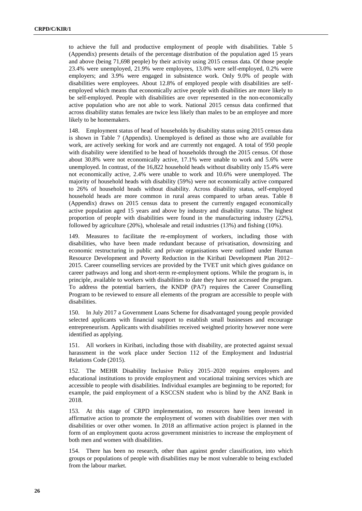to achieve the full and productive employment of people with disabilities. Table 5 (Appendix) presents details of the percentage distribution of the population aged 15 years and above (being 71,698 people) by their activity using 2015 census data. Of those people 23.4% were unemployed, 21.9% were employees, 13.0% were self-employed, 0.2% were employers; and 3.9% were engaged in subsistence work. Only 9.0% of people with disabilities were employees. About 12.8% of employed people with disabilities are selfemployed which means that economically active people with disabilities are more likely to be self-employed. People with disabilities are over represented in the non-economically active population who are not able to work. National 2015 census data confirmed that across disability status females are twice less likely than males to be an employee and more likely to be homemakers.

148. Employment status of head of households by disability status using 2015 census data is shown in Table 7 (Appendix). Unemployed is defined as those who are available for work, are actively seeking for work and are currently not engaged. A total of 950 people with disability were identified to be head of households through the 2015 census. Of those about 30.8% were not economically active, 17.1% were unable to work and 5.6% were unemployed. In contrast, of the 16,822 household heads without disability only 15.4% were not economically active, 2.4% were unable to work and 10.6% were unemployed. The majority of household heads with disability (59%) were not economically active compared to 26% of household heads without disability. Across disability status, self-employed household heads are more common in rural areas compared to urban areas. Table 8 (Appendix) draws on 2015 census data to present the currently engaged economically active population aged 15 years and above by industry and disability status. The highest proportion of people with disabilities were found in the manufacturing industry (22%), followed by agriculture (20%), wholesale and retail industries (13%) and fishing (10%).

149. Measures to facilitate the re-employment of workers, including those with disabilities, who have been made redundant because of privatisation, downsizing and economic restructuring in public and private organisations were outlined under Human Resource Development and Poverty Reduction in the Kiribati Development Plan 2012– 2015. Career counselling services are provided by the TVET unit which gives guidance on career pathways and long and short-term re-employment options. While the program is, in principle, available to workers with disabilities to date they have not accessed the program. To address the potential barriers, the KNDP (PA7) requires the Career Counselling Program to be reviewed to ensure all elements of the program are accessible to people with disabilities.

150. In July 2017 a Government Loans Scheme for disadvantaged young people provided selected applicants with financial support to establish small businesses and encourage entrepreneurism. Applicants with disabilities received weighted priority however none were identified as applying.

151. All workers in Kiribati, including those with disability, are protected against sexual harassment in the work place under Section 112 of the Employment and Industrial Relations Code (2015).

152. The MEHR Disability Inclusive Policy 2015–2020 requires employers and educational institutions to provide employment and vocational training services which are accessible to people with disabilities. Individual examples are beginning to be reported; for example, the paid employment of a KSCCSN student who is blind by the ANZ Bank in 2018.

153. At this stage of CRPD implementation, no resources have been invested in affirmative action to promote the employment of women with disabilities over men with disabilities or over other women. In 2018 an affirmative action project is planned in the form of an employment quota across government ministries to increase the employment of both men and women with disabilities.

154. There has been no research, other than against gender classification, into which groups or populations of people with disabilities may be most vulnerable to being excluded from the labour market.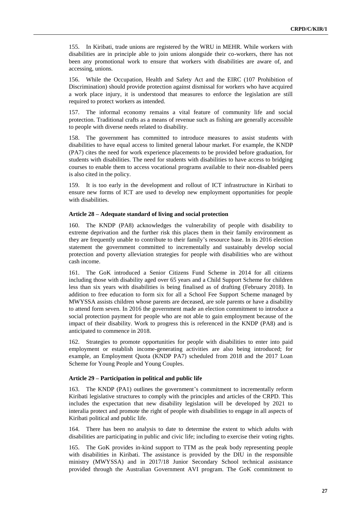155. In Kiribati, trade unions are registered by the WRU in MEHR. While workers with disabilities are in principle able to join unions alongside their co-workers, there has not been any promotional work to ensure that workers with disabilities are aware of, and accessing, unions.

156. While the Occupation, Health and Safety Act and the EIRC (107 Prohibition of Discrimination) should provide protection against dismissal for workers who have acquired a work place injury, it is understood that measures to enforce the legislation are still required to protect workers as intended.

157. The informal economy remains a vital feature of community life and social protection. Traditional crafts as a means of revenue such as fishing are generally accessible to people with diverse needs related to disability.

158. The government has committed to introduce measures to assist students with disabilities to have equal access to limited general labour market. For example, the KNDP (PA7) cites the need for work experience placements to be provided before graduation, for students with disabilities. The need for students with disabilities to have access to bridging courses to enable them to access vocational programs available to their non-disabled peers is also cited in the policy.

159. It is too early in the development and rollout of ICT infrastructure in Kiribati to ensure new forms of ICT are used to develop new employment opportunities for people with disabilities.

#### **Article 28 – Adequate standard of living and social protection**

160. The KNDP (PA8) acknowledges the vulnerability of people with disability to extreme deprivation and the further risk this places them in their family environment as they are frequently unable to contribute to their family's resource base. In its 2016 election statement the government committed to incrementally and sustainably develop social protection and poverty alleviation strategies for people with disabilities who are without cash income.

161. The GoK introduced a Senior Citizens Fund Scheme in 2014 for all citizens including those with disability aged over 65 years and a Child Support Scheme for children less than six years with disabilities is being finalised as of drafting (February 2018). In addition to free education to form six for all a School Fee Support Scheme managed by MWYSSA assists children whose parents are deceased, are sole parents or have a disability to attend form seven. In 2016 the government made an election commitment to introduce a social protection payment for people who are not able to gain employment because of the impact of their disability. Work to progress this is referenced in the KNDP (PA8) and is anticipated to commence in 2018.

162. Strategies to promote opportunities for people with disabilities to enter into paid employment or establish income-generating activities are also being introduced; for example, an Employment Quota (KNDP PA7) scheduled from 2018 and the 2017 Loan Scheme for Young People and Young Couples.

#### **Article 29 – Participation in political and public life**

163. The KNDP (PA1) outlines the government's commitment to incrementally reform Kiribati legislative structures to comply with the principles and articles of the CRPD. This includes the expectation that new disability legislation will be developed by 2021 to interalia protect and promote the right of people with disabilities to engage in all aspects of Kiribati political and public life.

164. There has been no analysis to date to determine the extent to which adults with disabilities are participating in public and civic life; including to exercise their voting rights.

165. The GoK provides in-kind support to TTM as the peak body representing people with disabilities in Kiribati. The assistance is provided by the DIU in the responsible ministry (MWYSSA) and in 2017/18 Junior Secondary School technical assistance provided through the Australian Government AVI program. The GoK commitment to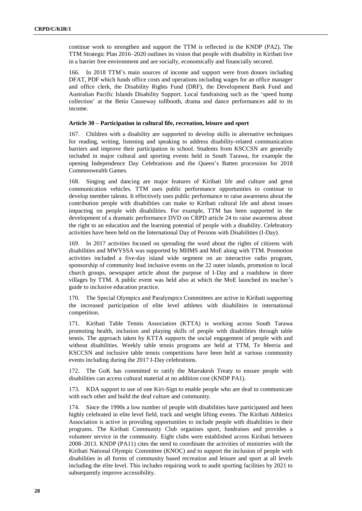continue work to strengthen and support the TTM is reflected in the KNDP (PA2). The TTM Strategic Plan 2016–2020 outlines its vision that people with disability in Kiribati live in a barrier free environment and are socially, economically and financially secured.

166. In 2018 TTM's main sources of income and support were from donors including DFAT, PDF which funds office costs and operations including wages for an office manager and office clerk, the Disability Rights Fund (DRF), the Development Bank Fund and Australian Pacific Islands Disability Support. Local fundraising such as the 'speed hump collection' at the Betio Causeway tollbooth, drama and dance performances add to its income.

#### **Article 30 – Participation in cultural life, recreation, leisure and sport**

167. Children with a disability are supported to develop skills in alternative techniques for reading, writing, listening and speaking to address disability-related communication barriers and improve their participation in school. Students from KSCCSN are generally included in major cultural and sporting events held in South Tarawa, for example the opening Independence Day Celebrations and the Queen's Batten procession for 2018 Commonwealth Games.

168. Singing and dancing are major features of Kiribati life and culture and great communication vehicles. TTM uses public performance opportunities to continue to develop member talents. It effectively uses public performance to raise awareness about the contribution people with disabilities can make to Kiribati cultural life and about issues impacting on people with disabilities. For example, TTM has been supported in the development of a dramatic performance DVD on CRPD article 24 to raise awareness about the right to an education and the learning potential of people with a disability. Celebratory activities have been held on the International Day of Persons with Disabilities (I-Day).

169. In 2017 activities focused on spreading the word about the rights of citizens with disabilities and MWYSSA was supported by MHMS and MoE along with TTM. Promotion activities included a five-day island wide segment on an interactive radio program, sponsorship of community lead inclusive events on the 22 outer islands, promotion to local church groups, newspaper article about the purpose of I-Day and a roadshow in three villages by TTM. A public event was held also at which the MoE launched its teacher's guide to inclusive education practice.

170. The Special Olympics and Paralympics Committees are active in Kiribati supporting the increased participation of elite level athletes with disabilities in international competition.

171. Kiribati Table Tennis Association (KTTA) is working across South Tarawa promoting health, inclusion and playing skills of people with disabilities through table tennis. The approach taken by KTTA supports the social engagement of people with and without disabilities. Weekly table tennis programs are held at TTM, Te Meeria and KSCCSN and inclusive table tennis competitions have been held at various community events including during the 2017 I-Day celebrations.

172. The GoK has committed to ratify the Marrakesh Treaty to ensure people with disabilities can access cultural material at no addition cost (KNDP PA1).

173. KDA support to use of one Kiri-Sign to enable people who are deaf to communicate with each other and build the deaf culture and community.

174. Since the 1990s a low number of people with disabilities have participated and been highly celebrated in elite level field, track and weight lifting events. The Kiribati Athletics Association is active in providing opportunities to include people with disabilities in their programs. The Kiribati Community Club organises sport, fundraises and provides a volunteer service in the community. Eight clubs were established across Kiribati between 2008–2013. KNDP (PA11) cites the need to coordinate the activities of ministries with the Kiribati National Olympic Committee (KNOC) and to support the inclusion of people with disabilities in all forms of community based recreation and leisure and sport at all levels including the elite level. This includes requiring work to audit sporting facilities by 2021 to subsequently improve accessibility.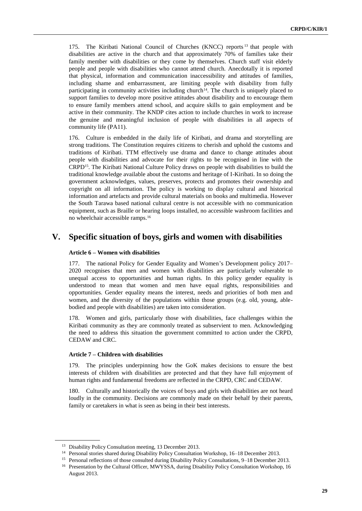175. The Kiribati National Council of Churches (KNCC) reports <sup>13</sup> that people with disabilities are active in the church and that approximately 70% of families take their family member with disabilities or they come by themselves. Church staff visit elderly people and people with disabilities who cannot attend church. Anecdotally it is reported that physical, information and communication inaccessibility and attitudes of families, including shame and embarrassment, are limiting people with disability from fully participating in community activities including church<sup>14</sup>. The church is uniquely placed to support families to develop more positive attitudes about disability and to encourage them to ensure family members attend school, and acquire skills to gain employment and be active in their community. The KNDP cites action to include churches in work to increase the genuine and meaningful inclusion of people with disabilities in all aspects of community life (PA11).

176. Culture is embedded in the daily life of Kiribati, and drama and storytelling are strong traditions. The Constitution requires citizens to cherish and uphold the customs and traditions of Kiribati. TTM effectively use drama and dance to change attitudes about people with disabilities and advocate for their rights to be recognised in line with the CRPD15. The Kiribati National Culture Policy draws on people with disabilities to build the traditional knowledge available about the customs and heritage of I-Kiribati. In so doing the government acknowledges, values, preserves, protects and promotes their ownership and copyright on all information. The policy is working to display cultural and historical information and artefacts and provide cultural materials on books and multimedia. However the South Tarawa based national cultural centre is not accessible with no communication equipment, such as Braille or hearing loops installed, no accessible washroom facilities and no wheelchair accessible ramps.<sup>16</sup>

## **V. Specific situation of boys, girls and women with disabilities**

#### **Article 6 – Women with disabilities**

177. The national Policy for Gender Equality and Women's Development policy 2017– 2020 recognises that men and women with disabilities are particularly vulnerable to unequal access to opportunities and human rights. In this policy gender equality is understood to mean that women and men have equal rights, responsibilities and opportunities. Gender equality means the interest, needs and priorities of both men and women, and the diversity of the populations within those groups (e.g. old, young, ablebodied and people with disabilities) are taken into consideration.

178. Women and girls, particularly those with disabilities, face challenges within the Kiribati community as they are commonly treated as subservient to men. Acknowledging the need to address this situation the government committed to action under the CRPD, CEDAW and CRC.

#### **Article 7 – Children with disabilities**

179. The principles underpinning how the GoK makes decisions to ensure the best interests of children with disabilities are protected and that they have full enjoyment of human rights and fundamental freedoms are reflected in the CRPD, CRC and CEDAW.

180. Culturally and historically the voices of boys and girls with disabilities are not heard loudly in the community. Decisions are commonly made on their behalf by their parents, family or caretakers in what is seen as being in their best interests.

<sup>&</sup>lt;sup>13</sup> Disability Policy Consultation meeting, 13 December 2013.

<sup>14</sup> Personal stories shared during Disability Policy Consultation Workshop, 16–18 December 2013.

<sup>&</sup>lt;sup>15</sup> Personal reflections of those consulted during Disability Policy Consultations, 9–18 December 2013.

<sup>&</sup>lt;sup>16</sup> Presentation by the Cultural Officer, MWYSSA, during Disability Policy Consultation Workshop, 16 August 2013.